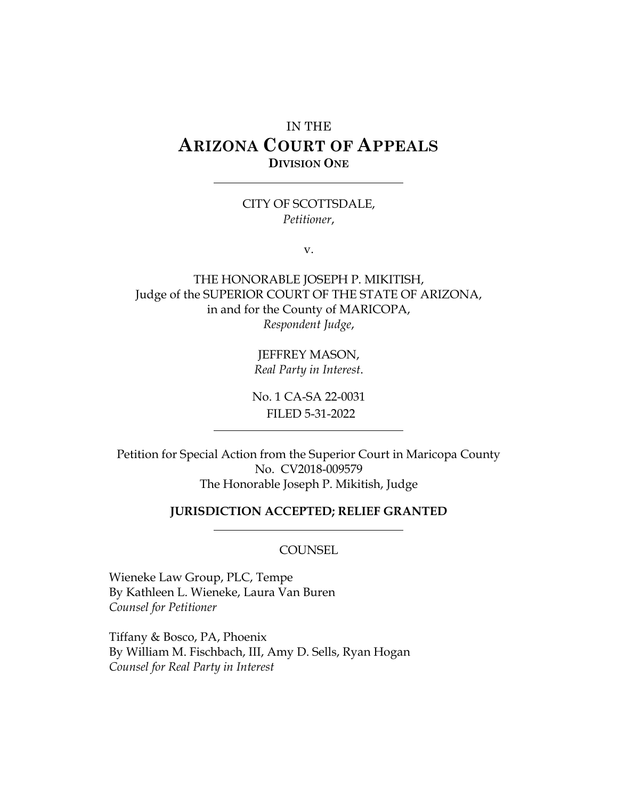# IN THE **ARIZONA COURT OF APPEALS DIVISION ONE**

#### CITY OF SCOTTSDALE, *Petitioner*,

v.

THE HONORABLE JOSEPH P. MIKITISH, Judge of the SUPERIOR COURT OF THE STATE OF ARIZONA, in and for the County of MARICOPA, *Respondent Judge*,

> JEFFREY MASON, *Real Party in Interest*.

No. 1 CA-SA 22-0031 FILED 5-31-2022

Petition for Special Action from the Superior Court in Maricopa County No. CV2018-009579 The Honorable Joseph P. Mikitish, Judge

#### **JURISDICTION ACCEPTED; RELIEF GRANTED**

#### **COUNSEL**

Wieneke Law Group, PLC, Tempe By Kathleen L. Wieneke, Laura Van Buren *Counsel for Petitioner*

Tiffany & Bosco, PA, Phoenix By William M. Fischbach, III, Amy D. Sells, Ryan Hogan *Counsel for Real Party in Interest*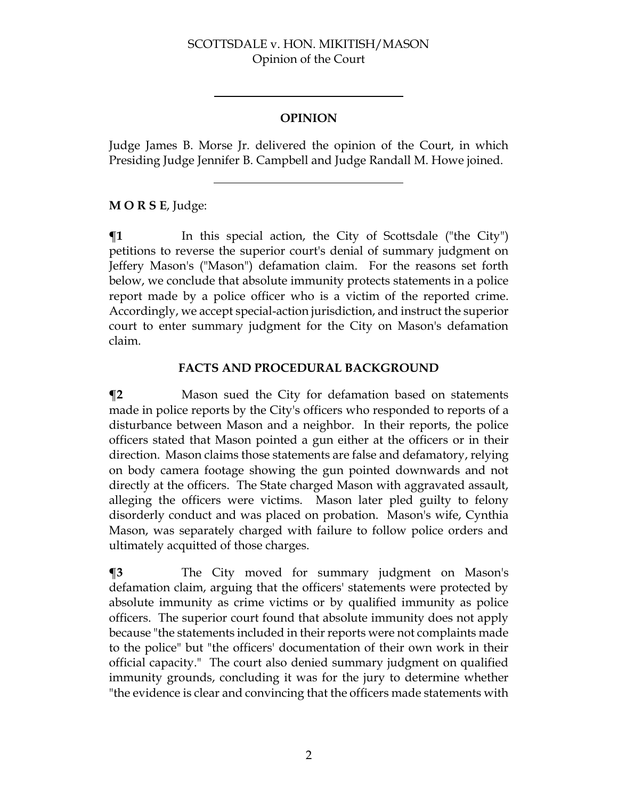## **OPINION**

Judge James B. Morse Jr. delivered the opinion of the Court, in which Presiding Judge Jennifer B. Campbell and Judge Randall M. Howe joined.

### **M O R S E**, Judge:

 $\P$ **1** In this special action, the City of Scottsdale ("the City") petitions to reverse the superior court's denial of summary judgment on Jeffery Mason's ("Mason") defamation claim. For the reasons set forth below, we conclude that absolute immunity protects statements in a police report made by a police officer who is a victim of the reported crime. Accordingly, we accept special-action jurisdiction, and instruct the superior court to enter summary judgment for the City on Mason's defamation claim.

### **FACTS AND PROCEDURAL BACKGROUND**

**¶2** Mason sued the City for defamation based on statements made in police reports by the City's officers who responded to reports of a disturbance between Mason and a neighbor. In their reports, the police officers stated that Mason pointed a gun either at the officers or in their direction. Mason claims those statements are false and defamatory, relying on body camera footage showing the gun pointed downwards and not directly at the officers. The State charged Mason with aggravated assault, alleging the officers were victims. Mason later pled guilty to felony disorderly conduct and was placed on probation. Mason's wife, Cynthia Mason, was separately charged with failure to follow police orders and ultimately acquitted of those charges.

**¶3** The City moved for summary judgment on Mason's defamation claim, arguing that the officers' statements were protected by absolute immunity as crime victims or by qualified immunity as police officers. The superior court found that absolute immunity does not apply because "the statements included in their reports were not complaints made to the police" but "the officers' documentation of their own work in their official capacity." The court also denied summary judgment on qualified immunity grounds, concluding it was for the jury to determine whether "the evidence is clear and convincing that the officers made statements with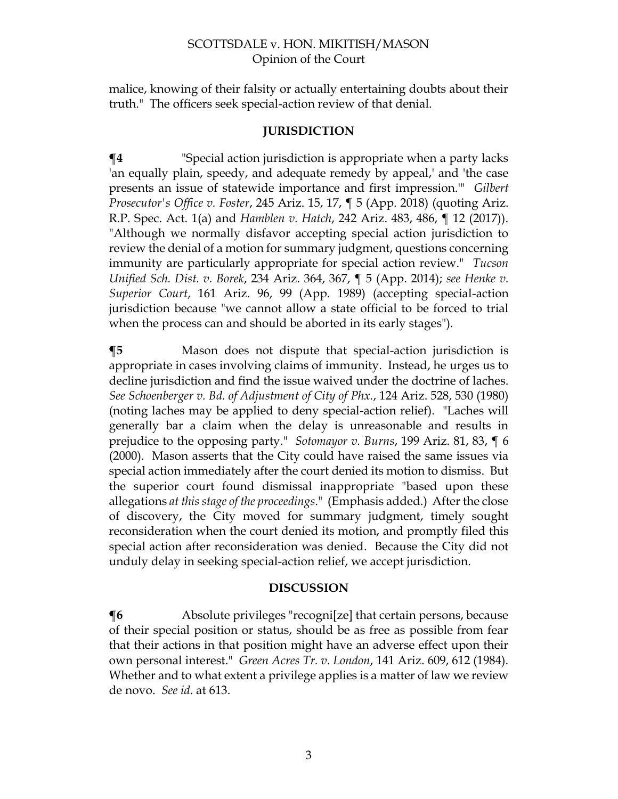malice, knowing of their falsity or actually entertaining doubts about their truth." The officers seek special-action review of that denial.

#### **JURISDICTION**

**¶4** "Special action jurisdiction is appropriate when a party lacks 'an equally plain, speedy, and adequate remedy by appeal,' and 'the case presents an issue of statewide importance and first impression.'" *Gilbert Prosecutor's Office v. Foster*, 245 Ariz. 15, 17, ¶ 5 (App. 2018) (quoting Ariz. R.P. Spec. Act. 1(a) and *Hamblen v. Hatch*, 242 Ariz. 483, 486, ¶ 12 (2017)). "Although we normally disfavor accepting special action jurisdiction to review the denial of a motion for summary judgment, questions concerning immunity are particularly appropriate for special action review." *Tucson Unified Sch. Dist. v. Borek*, 234 Ariz. 364, 367, ¶ 5 (App. 2014); *see Henke v. Superior Court*, 161 Ariz. 96, 99 (App. 1989) (accepting special-action jurisdiction because "we cannot allow a state official to be forced to trial when the process can and should be aborted in its early stages").

**¶5** Mason does not dispute that special-action jurisdiction is appropriate in cases involving claims of immunity. Instead, he urges us to decline jurisdiction and find the issue waived under the doctrine of laches. *See Schoenberger v. Bd. of Adjustment of City of Phx.*, 124 Ariz. 528, 530 (1980) (noting laches may be applied to deny special-action relief). "Laches will generally bar a claim when the delay is unreasonable and results in prejudice to the opposing party." *Sotomayor v. Burns*, 199 Ariz. 81, 83, ¶ 6 (2000). Mason asserts that the City could have raised the same issues via special action immediately after the court denied its motion to dismiss. But the superior court found dismissal inappropriate "based upon these allegations *at this stage of the proceedings*." (Emphasis added.) After the close of discovery, the City moved for summary judgment, timely sought reconsideration when the court denied its motion, and promptly filed this special action after reconsideration was denied. Because the City did not unduly delay in seeking special-action relief, we accept jurisdiction.

#### **DISCUSSION**

**¶6** Absolute privileges "recogni[ze] that certain persons, because of their special position or status, should be as free as possible from fear that their actions in that position might have an adverse effect upon their own personal interest." *Green Acres Tr. v. London*, 141 Ariz. 609, 612 (1984). Whether and to what extent a privilege applies is a matter of law we review de novo. *See id*. at 613.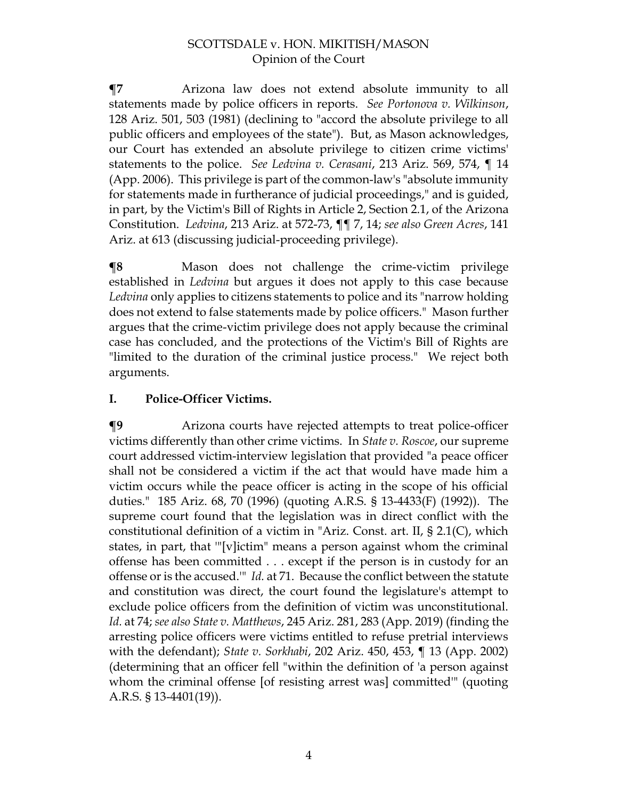**¶7** Arizona law does not extend absolute immunity to all statements made by police officers in reports. *See Portonova v. Wilkinson*, 128 Ariz. 501, 503 (1981) (declining to "accord the absolute privilege to all public officers and employees of the state"). But, as Mason acknowledges, our Court has extended an absolute privilege to citizen crime victims' statements to the police. *See Ledvina v. Cerasani*, 213 Ariz. 569, 574, ¶ 14 (App. 2006). This privilege is part of the common-law's "absolute immunity for statements made in furtherance of judicial proceedings," and is guided, in part, by the Victim's Bill of Rights in Article 2, Section 2.1, of the Arizona Constitution. *Ledvina*, 213 Ariz. at 572-73, ¶¶ 7, 14; *see also Green Acres*, 141 Ariz. at 613 (discussing judicial-proceeding privilege).

**¶8** Mason does not challenge the crime-victim privilege established in *Ledvina* but argues it does not apply to this case because *Ledvina* only applies to citizens statements to police and its "narrow holding does not extend to false statements made by police officers." Mason further argues that the crime-victim privilege does not apply because the criminal case has concluded, and the protections of the Victim's Bill of Rights are "limited to the duration of the criminal justice process." We reject both arguments.

# **I. Police-Officer Victims.**

**¶9** Arizona courts have rejected attempts to treat police-officer victims differently than other crime victims. In *State v. Roscoe*, our supreme court addressed victim-interview legislation that provided "a peace officer shall not be considered a victim if the act that would have made him a victim occurs while the peace officer is acting in the scope of his official duties." 185 Ariz. 68, 70 (1996) (quoting A.R.S. § 13-4433(F) (1992)). The supreme court found that the legislation was in direct conflict with the constitutional definition of a victim in "Ariz. Const. art. II, § 2.1(C), which states, in part, that '"[v]ictim" means a person against whom the criminal offense has been committed . . . except if the person is in custody for an offense or is the accused.'" *Id.* at 71. Because the conflict between the statute and constitution was direct, the court found the legislature's attempt to exclude police officers from the definition of victim was unconstitutional. *Id.* at 74; *see also State v. Matthews*, 245 Ariz. 281, 283 (App. 2019) (finding the arresting police officers were victims entitled to refuse pretrial interviews with the defendant); *State v. Sorkhabi*, 202 Ariz. 450, 453, ¶ 13 (App. 2002) (determining that an officer fell "within the definition of 'a person against whom the criminal offense [of resisting arrest was] committed'" (quoting A.R.S. § 13-4401(19)).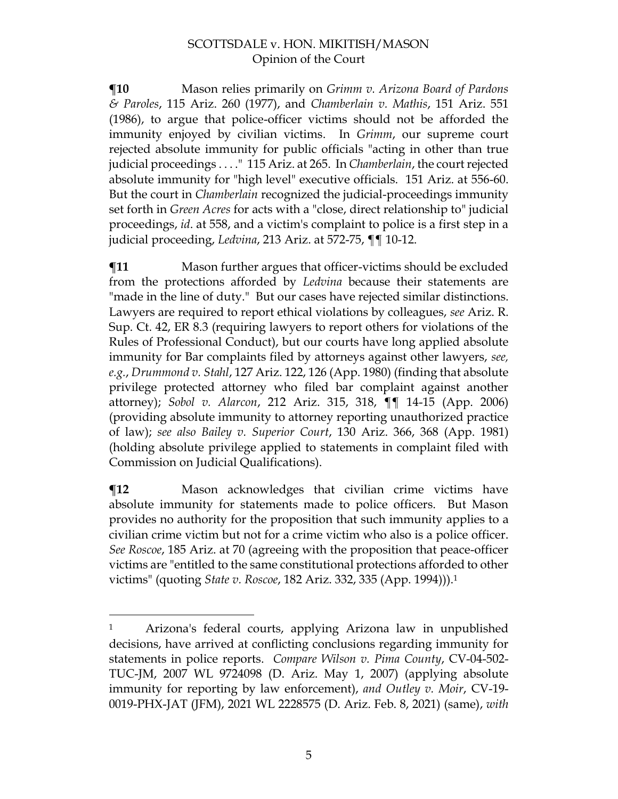**¶10** Mason relies primarily on *Grimm v. Arizona Board of Pardons & Paroles*, 115 Ariz. 260 (1977), and *Chamberlain v. Mathis*, 151 Ariz. 551 (1986), to argue that police-officer victims should not be afforded the immunity enjoyed by civilian victims. In *Grimm*, our supreme court rejected absolute immunity for public officials "acting in other than true judicial proceedings . . . ." 115 Ariz. at 265. In *Chamberlain*, the court rejected absolute immunity for "high level" executive officials. 151 Ariz. at 556-60. But the court in *Chamberlain* recognized the judicial-proceedings immunity set forth in *Green Acres* for acts with a "close, direct relationship to" judicial proceedings, *id*. at 558, and a victim's complaint to police is a first step in a judicial proceeding, *Ledvina*, 213 Ariz. at 572-75, ¶¶ 10-12.

**¶11** Mason further argues that officer-victims should be excluded from the protections afforded by *Ledvina* because their statements are "made in the line of duty." But our cases have rejected similar distinctions. Lawyers are required to report ethical violations by colleagues, *see* Ariz. R. Sup. Ct. 42, ER 8.3 (requiring lawyers to report others for violations of the Rules of Professional Conduct), but our courts have long applied absolute immunity for Bar complaints filed by attorneys against other lawyers, *see, e.g.*, *Drummond v. Stahl*, 127 Ariz. 122, 126 (App. 1980) (finding that absolute privilege protected attorney who filed bar complaint against another attorney); *Sobol v. Alarcon*, 212 Ariz. 315, 318, ¶¶ 14-15 (App. 2006) (providing absolute immunity to attorney reporting unauthorized practice of law); *see also Bailey v. Superior Court*, 130 Ariz. 366, 368 (App. 1981) (holding absolute privilege applied to statements in complaint filed with Commission on Judicial Qualifications).

**¶12** Mason acknowledges that civilian crime victims have absolute immunity for statements made to police officers. But Mason provides no authority for the proposition that such immunity applies to a civilian crime victim but not for a crime victim who also is a police officer. *See Roscoe*, 185 Ariz. at 70 (agreeing with the proposition that peace-officer victims are "entitled to the same constitutional protections afforded to other victims" (quoting *State v. Roscoe*, 182 Ariz. 332, 335 (App. 1994))). 1

<sup>1</sup> Arizona's federal courts, applying Arizona law in unpublished decisions, have arrived at conflicting conclusions regarding immunity for statements in police reports. *Compare Wilson v. Pima County*, CV-04-502- TUC-JM, 2007 WL 9724098 (D. Ariz. May 1, 2007) (applying absolute immunity for reporting by law enforcement), *and Outley v. Moir*, CV-19- 0019-PHX-JAT (JFM), 2021 WL 2228575 (D. Ariz. Feb. 8, 2021) (same), *with*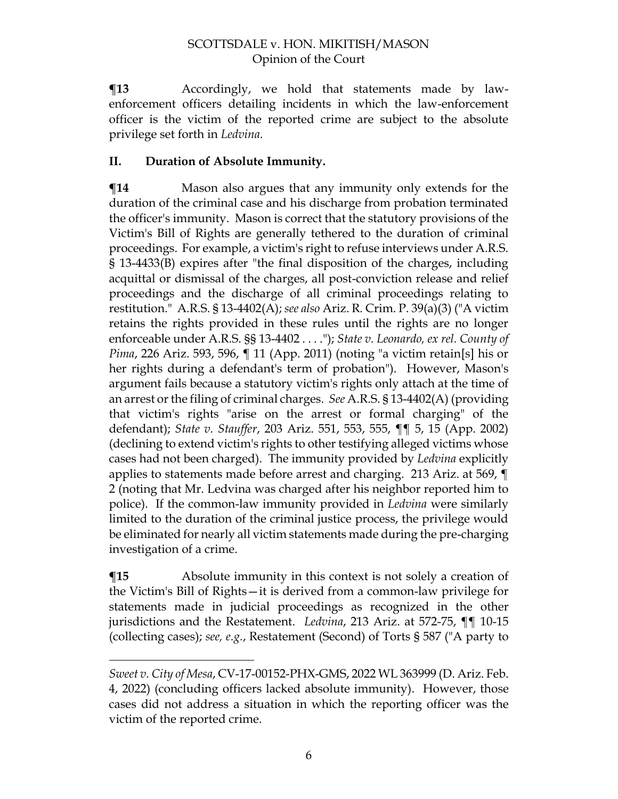**¶13** Accordingly, we hold that statements made by lawenforcement officers detailing incidents in which the law-enforcement officer is the victim of the reported crime are subject to the absolute privilege set forth in *Ledvina*.

## **II. Duration of Absolute Immunity.**

**The Term** Mason also argues that any immunity only extends for the duration of the criminal case and his discharge from probation terminated the officer's immunity. Mason is correct that the statutory provisions of the Victim's Bill of Rights are generally tethered to the duration of criminal proceedings. For example, a victim's right to refuse interviews under A.R.S. § 13-4433(B) expires after "the final disposition of the charges, including acquittal or dismissal of the charges, all post-conviction release and relief proceedings and the discharge of all criminal proceedings relating to restitution." A.R.S. § 13-4402(A); *see also* Ariz. R. Crim. P. 39(a)(3) ("A victim retains the rights provided in these rules until the rights are no longer enforceable under A.R.S. §§ 13-4402 . . . ."); *State v. Leonardo, ex rel. County of Pima*, 226 Ariz. 593, 596, ¶ 11 (App. 2011) (noting "a victim retain[s] his or her rights during a defendant's term of probation"). However, Mason's argument fails because a statutory victim's rights only attach at the time of an arrest or the filing of criminal charges. *See* A.R.S. § 13-4402(A) (providing that victim's rights "arise on the arrest or formal charging" of the defendant); *State v. Stauffer*, 203 Ariz. 551, 553, 555, ¶¶ 5, 15 (App. 2002) (declining to extend victim's rights to other testifying alleged victims whose cases had not been charged). The immunity provided by *Ledvina* explicitly applies to statements made before arrest and charging. 213 Ariz. at 569, ¶ 2 (noting that Mr. Ledvina was charged after his neighbor reported him to police). If the common-law immunity provided in *Ledvina* were similarly limited to the duration of the criminal justice process, the privilege would be eliminated for nearly all victim statements made during the pre-charging investigation of a crime.

 $\P$ **15** Absolute immunity in this context is not solely a creation of the Victim's Bill of Rights—it is derived from a common-law privilege for statements made in judicial proceedings as recognized in the other jurisdictions and the Restatement. *Ledvina*, 213 Ariz. at 572-75, ¶¶ 10-15 (collecting cases); *see, e.g.*, Restatement (Second) of Torts § 587 ("A party to

*Sweet v. City of Mesa*, CV-17-00152-PHX-GMS, 2022 WL 363999 (D. Ariz. Feb. 4, 2022) (concluding officers lacked absolute immunity). However, those cases did not address a situation in which the reporting officer was the victim of the reported crime.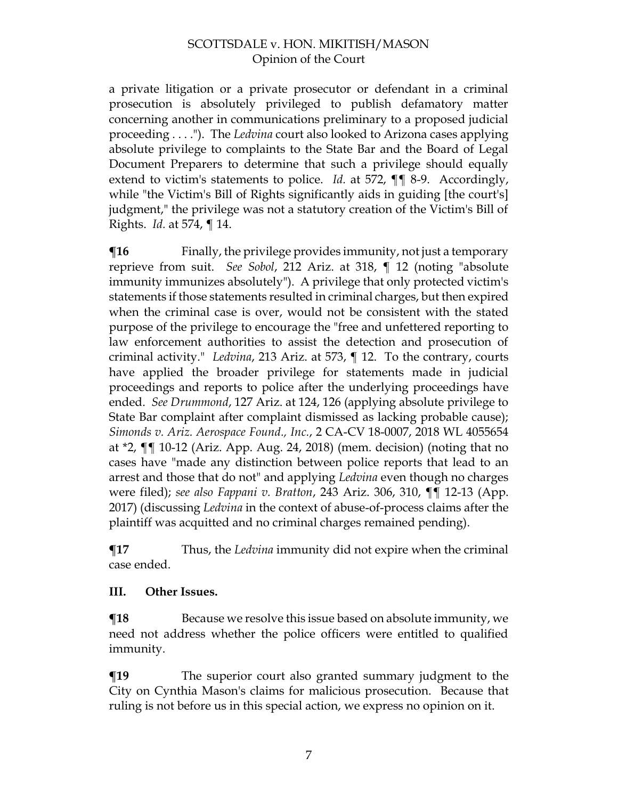a private litigation or a private prosecutor or defendant in a criminal prosecution is absolutely privileged to publish defamatory matter concerning another in communications preliminary to a proposed judicial proceeding . . . ."). The *Ledvina* court also looked to Arizona cases applying absolute privilege to complaints to the State Bar and the Board of Legal Document Preparers to determine that such a privilege should equally extend to victim's statements to police. *Id.* at 572, ¶¶ 8-9. Accordingly, while "the Victim's Bill of Rights significantly aids in guiding [the court's] judgment," the privilege was not a statutory creation of the Victim's Bill of Rights. *Id.* at 574, ¶ 14.

 $\P$ **16** Finally, the privilege provides immunity, not just a temporary reprieve from suit. *See Sobol*, 212 Ariz. at 318, ¶ 12 (noting "absolute immunity immunizes absolutely"). A privilege that only protected victim's statements if those statements resulted in criminal charges, but then expired when the criminal case is over, would not be consistent with the stated purpose of the privilege to encourage the "free and unfettered reporting to law enforcement authorities to assist the detection and prosecution of criminal activity." *Ledvina*, 213 Ariz. at 573, ¶ 12. To the contrary, courts have applied the broader privilege for statements made in judicial proceedings and reports to police after the underlying proceedings have ended. *See Drummond*, 127 Ariz. at 124, 126 (applying absolute privilege to State Bar complaint after complaint dismissed as lacking probable cause); *Simonds v. Ariz. Aerospace Found., Inc.*, 2 CA-CV 18-0007, 2018 WL 4055654 at \*2, ¶¶ 10-12 (Ariz. App. Aug. 24, 2018) (mem. decision) (noting that no cases have "made any distinction between police reports that lead to an arrest and those that do not" and applying *Ledvina* even though no charges were filed); *see also Fappani v. Bratton*, 243 Ariz. 306, 310, ¶¶ 12-13 (App. 2017) (discussing *Ledvina* in the context of abuse-of-process claims after the plaintiff was acquitted and no criminal charges remained pending).

**¶17** Thus, the *Ledvina* immunity did not expire when the criminal case ended.

#### **III. Other Issues.**

**The Propensist Exercise** Secause we resolve this issue based on absolute immunity, we need not address whether the police officers were entitled to qualified immunity.

**¶19** The superior court also granted summary judgment to the City on Cynthia Mason's claims for malicious prosecution. Because that ruling is not before us in this special action, we express no opinion on it.